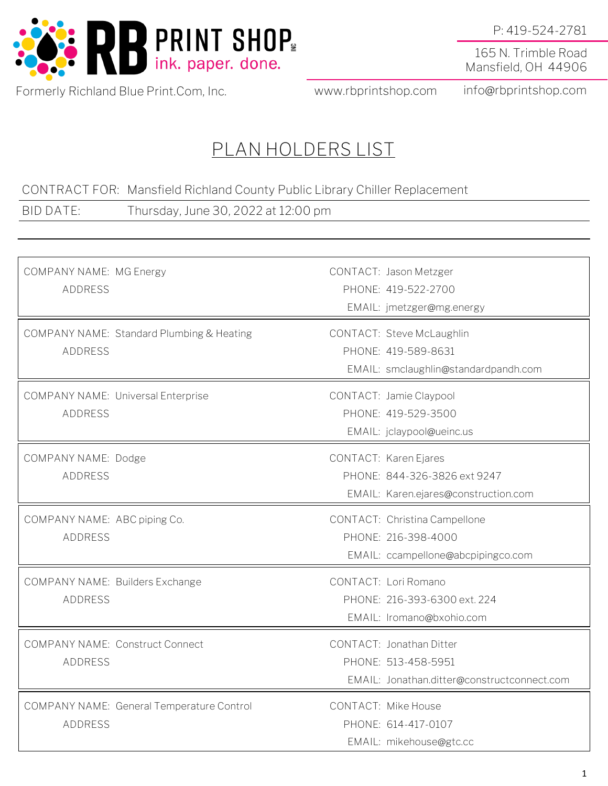

Formerly Richland Blue Print.Com, Inc.

P: 419-524-2781

165 N. Trimble Road Mansfield, OH 44906

[www.rbprintshop.com](http://WWW.RBPRINTSHOP.COM) info@rbprintshop.com

## PLAN HOLDERS LIST

CONTRACT FOR: Mansfield Richland County Public Library Chiller Replacement

BID DATE: Thursday, June 30, 2022 at 12:00 pm

| COMPANY NAME: MG Energy                   | CONTACT: Jason Metzger                      |
|-------------------------------------------|---------------------------------------------|
| ADDRESS                                   | PHONE: 419-522-2700                         |
|                                           | EMAIL: jmetzger@mg.energy                   |
| COMPANY NAME: Standard Plumbing & Heating | CONTACT: Steve McLaughlin                   |
| <b>ADDRESS</b>                            | PHONE: 419-589-8631                         |
|                                           | EMAIL: smclaughlin@standardpandh.com        |
| COMPANY NAME: Universal Enterprise        | CONTACT: Jamie Claypool                     |
| <b>ADDRESS</b>                            | PHONE: 419-529-3500                         |
|                                           | EMAIL: jclaypool@ueinc.us                   |
| COMPANY NAME: Dodge                       | CONTACT: Karen Ejares                       |
| ADDRESS                                   | PHONE: 844-326-3826 ext 9247                |
|                                           | EMAIL: Karen.ejares@construction.com        |
| COMPANY NAME: ABC piping Co.              | CONTACT: Christina Campellone               |
| <b>ADDRESS</b>                            | PHONE: 216-398-4000                         |
|                                           | EMAIL: ccampellone@abcpipingco.com          |
| COMPANY NAME: Builders Exchange           | CONTACT: Lori Romano                        |
| <b>ADDRESS</b>                            | PHONE: 216-393-6300 ext. 224                |
|                                           | EMAIL: Iromano@bxohio.com                   |
| <b>COMPANY NAME: Construct Connect</b>    | CONTACT: Jonathan Ditter                    |
| ADDRESS                                   | PHONE: 513-458-5951                         |
|                                           | EMAIL: Jonathan.ditter@constructconnect.com |
| COMPANY NAME: General Temperature Control | <b>CONTACT: Mike House</b>                  |
| <b>ADDRESS</b>                            | PHONE: 614-417-0107                         |
|                                           | EMAIL: mikehouse@gtc.cc                     |